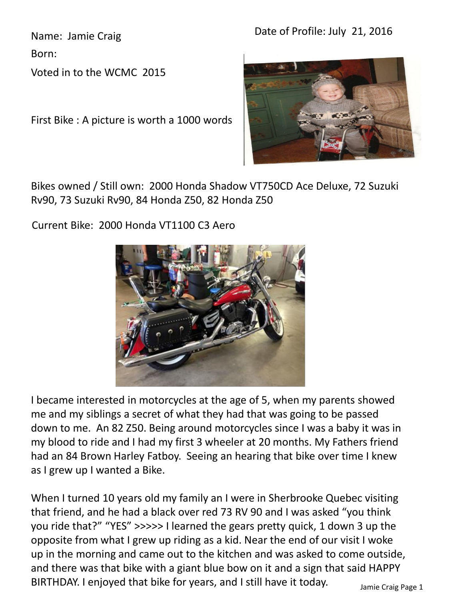Date of Profile: July 21, 2016

Name: Jamie Craig

Born:

Voted in to the WCMC 2015

First Bike : A picture is worth a 1000 words



Bikes owned / Still own: 2000 Honda Shadow VT750CD Ace Deluxe, 72 Suzuki Rv90, 73 Suzuki Rv90, 84 Honda Z50, 82 Honda Z50

Current Bike: 2000 Honda VT1100 C3 Aero



I became interested in motorcycles at the age of 5, when my parents showed me and my siblings a secret of what they had that was going to be passed down to me. An 82 Z50. Being around motorcycles since I was a baby it was in my blood to ride and I had my first 3 wheeler at 20 months. My Fathers friend had an 84 Brown Harley Fatboy. Seeing an hearing that bike over time I knew as I grew up I wanted a Bike.

When I turned 10 years old my family an I were in Sherbrooke Quebec visiting that friend, and he had a black over red 73 RV 90 and I was asked "you think you ride that?" "YES" >>>>> I learned the gears pretty quick, 1 down 3 up the opposite from what I grew up riding as a kid. Near the end of our visit I woke up in the morning and came out to the kitchen and was asked to come outside, and there was that bike with a giant blue bow on it and a sign that said HAPPY BIRTHDAY. I enjoyed that bike for years, and I still have it today.  $\frac{1}{\text{Jamie Craig Page 1}}$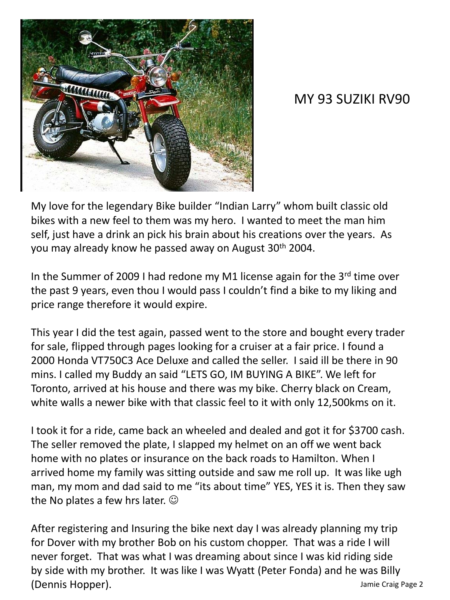

## MY 93 SUZIKI RV90

My love for the legendary Bike builder "Indian Larry" whom built classic old bikes with a new feel to them was my hero. I wanted to meet the man him self, just have a drink an pick his brain about his creations over the years. As you may already know he passed away on August 30<sup>th</sup> 2004.

In the Summer of 2009 I had redone my M1 license again for the  $3<sup>rd</sup>$  time over the past 9 years, even thou I would pass I couldn't find a bike to my liking and price range therefore it would expire.

This year I did the test again, passed went to the store and bought every trader for sale, flipped through pages looking for a cruiser at a fair price. I found a 2000 Honda VT750C3 Ace Deluxe and called the seller. I said ill be there in 90 mins. I called my Buddy an said "LETS GO, IM BUYING A BIKE". We left for Toronto, arrived at his house and there was my bike. Cherry black on Cream, white walls a newer bike with that classic feel to it with only 12,500kms on it.

I took it for a ride, came back an wheeled and dealed and got it for \$3700 cash. The seller removed the plate, I slapped my helmet on an off we went back home with no plates or insurance on the back roads to Hamilton. When I arrived home my family was sitting outside and saw me roll up. It was like ugh man, my mom and dad said to me "its about time" YES, YES it is. Then they saw the No plates a few hrs later.  $\odot$ 

After registering and Insuring the bike next day I was already planning my trip for Dover with my brother Bob on his custom chopper. That was a ride I will never forget. That was what I was dreaming about since I was kid riding side by side with my brother. It was like I was Wyatt (Peter Fonda) and he was Billy (Dennis Hopper). Jamie Craig Page 2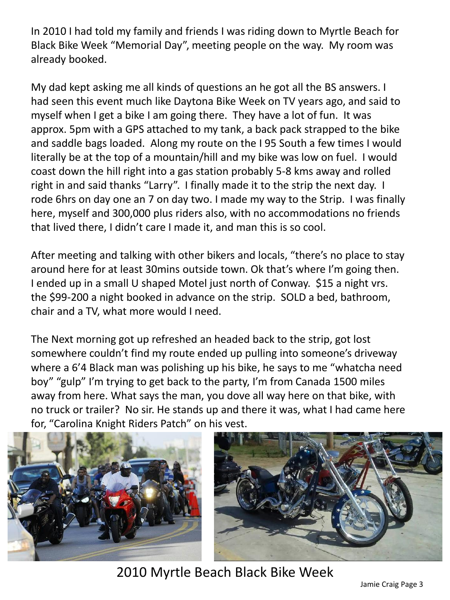In 2010 I had told my family and friends I was riding down to Myrtle Beach for Black Bike Week "Memorial Day", meeting people on the way. My room was already booked.

My dad kept asking me all kinds of questions an he got all the BS answers. I had seen this event much like Daytona Bike Week on TV years ago, and said to myself when I get a bike I am going there. They have a lot of fun. It was approx. 5pm with a GPS attached to my tank, a back pack strapped to the bike and saddle bags loaded. Along my route on the I 95 South a few times I would literally be at the top of a mountain/hill and my bike was low on fuel. I would coast down the hill right into a gas station probably 5-8 kms away and rolled right in and said thanks "Larry". I finally made it to the strip the next day. I rode 6hrs on day one an 7 on day two. I made my way to the Strip. I was finally here, myself and 300,000 plus riders also, with no accommodations no friends that lived there, I didn't care I made it, and man this is so cool.

After meeting and talking with other bikers and locals, "there's no place to stay around here for at least 30mins outside town. Ok that's where I'm going then. I ended up in a small U shaped Motel just north of Conway. \$15 a night vrs. the \$99-200 a night booked in advance on the strip. SOLD a bed, bathroom, chair and a TV, what more would I need.

The Next morning got up refreshed an headed back to the strip, got lost somewhere couldn't find my route ended up pulling into someone's driveway where a 6'4 Black man was polishing up his bike, he says to me "whatcha need boy" "gulp" I'm trying to get back to the party, I'm from Canada 1500 miles away from here. What says the man, you dove all way here on that bike, with no truck or trailer? No sir. He stands up and there it was, what I had came here for, "Carolina Knight Riders Patch" on his vest.



2010 Myrtle Beach Black Bike Week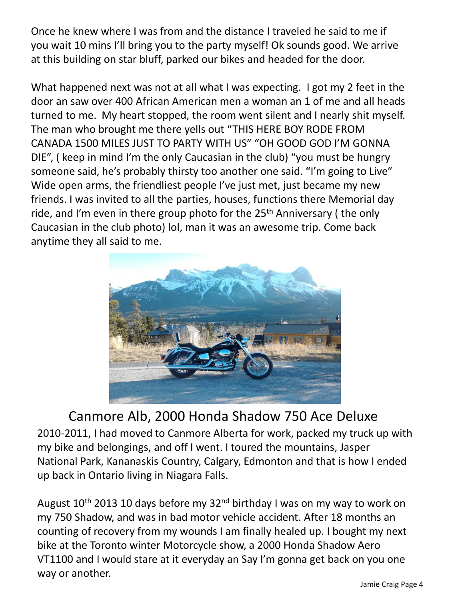Once he knew where I was from and the distance I traveled he said to me if you wait 10 mins I'll bring you to the party myself! Ok sounds good. We arrive at this building on star bluff, parked our bikes and headed for the door.

What happened next was not at all what I was expecting. I got my 2 feet in the door an saw over 400 African American men a woman an 1 of me and all heads turned to me. My heart stopped, the room went silent and I nearly shit myself. The man who brought me there yells out "THIS HERE BOY RODE FROM CANADA 1500 MILES JUST TO PARTY WITH US" "OH GOOD GOD I'M GONNA DIE", ( keep in mind I'm the only Caucasian in the club) "you must be hungry someone said, he's probably thirsty too another one said. "I'm going to Live" Wide open arms, the friendliest people I've just met, just became my new friends. I was invited to all the parties, houses, functions there Memorial day ride, and I'm even in there group photo for the 25<sup>th</sup> Anniversary (the only Caucasian in the club photo) lol, man it was an awesome trip. Come back anytime they all said to me.



## Canmore Alb, 2000 Honda Shadow 750 Ace Deluxe

2010-2011, I had moved to Canmore Alberta for work, packed my truck up with my bike and belongings, and off I went. I toured the mountains, Jasper National Park, Kananaskis Country, Calgary, Edmonton and that is how I ended up back in Ontario living in Niagara Falls.

August  $10^{th}$  2013 10 days before my 32<sup>nd</sup> birthday I was on my way to work on my 750 Shadow, and was in bad motor vehicle accident. After 18 months an counting of recovery from my wounds I am finally healed up. I bought my next bike at the Toronto winter Motorcycle show, a 2000 Honda Shadow Aero VT1100 and I would stare at it everyday an Say I'm gonna get back on you one way or another.